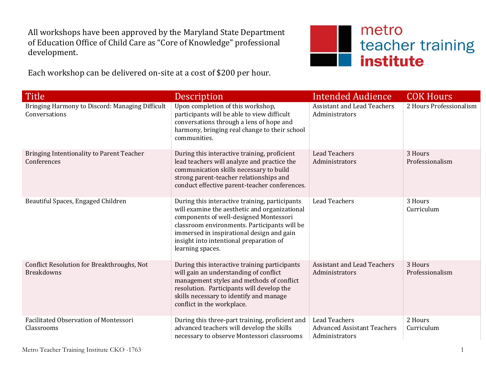All workshops have been approved by the Maryland State Department of Education Office of Child Care as "Core of Knowledge" professional development.

Each workshop can be delivered on-site at a cost of \$200 per hour.



| <b>Title</b>                                                     | Description                                                                                                                                                                                                                                                                                           | <b>Intended Audience</b>                                                     | <b>COK Hours</b>           |
|------------------------------------------------------------------|-------------------------------------------------------------------------------------------------------------------------------------------------------------------------------------------------------------------------------------------------------------------------------------------------------|------------------------------------------------------------------------------|----------------------------|
| Bringing Harmony to Discord: Managing Difficult<br>Conversations | Upon completion of this workshop,<br>participants will be able to view difficult<br>conversations through a lens of hope and<br>harmony, bringing real change to their school<br>communities.                                                                                                         | <b>Assistant and Lead Teachers</b><br>Administrators                         | 2 Hours Professionalism    |
| Bringing Intentionality to Parent Teacher<br>Conferences         | During this interactive training, proficient<br>lead teachers will analyze and practice the<br>communication skills necessary to build<br>strong parent-teacher relationships and<br>conduct effective parent-teacher conferences.                                                                    | <b>Lead Teachers</b><br>Administrators                                       | 3 Hours<br>Professionalism |
| Beautiful Spaces, Engaged Children                               | During this interactive training, participants<br>will examine the aesthetic and organizational<br>components of well-designed Montessori<br>classroom environments. Participants will be<br>immersed in inspirational design and gain<br>insight into intentional preparation of<br>learning spaces. | <b>Lead Teachers</b>                                                         | 3 Hours<br>Curriculum      |
| Conflict Resolution for Breakthroughs, Not<br><b>Breakdowns</b>  | During this interactive training participants<br>will gain an understanding of conflict<br>management styles and methods of conflict<br>resolution. Participants will develop the<br>skills necessary to identify and manage<br>conflict in the workplace.                                            | <b>Assistant and Lead Teachers</b><br>Administrators                         | 3 Hours<br>Professionalism |
| <b>Facilitated Observation of Montessori</b><br>Classrooms       | During this three-part training, proficient and<br>advanced teachers will develop the skills<br>necessary to observe Montessori classrooms                                                                                                                                                            | <b>Lead Teachers</b><br><b>Advanced Assistant Teachers</b><br>Administrators | 2 Hours<br>Curriculum      |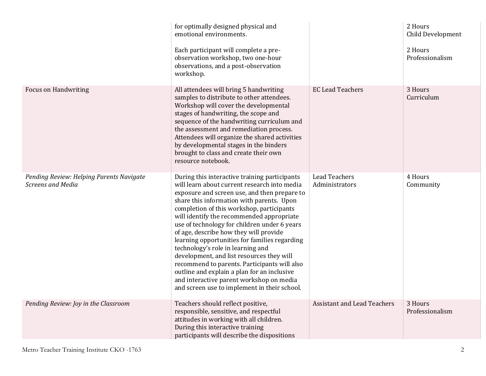|                                                                      | for optimally designed physical and<br>emotional environments.<br>Each participant will complete a pre-<br>observation workshop, two one-hour<br>observations, and a post-observation<br>workshop.                                                                                                                                                                                                                                                                                                                                                                                                                                                                                                           |                                        | 2 Hours<br>Child Development<br>2 Hours<br>Professionalism |
|----------------------------------------------------------------------|--------------------------------------------------------------------------------------------------------------------------------------------------------------------------------------------------------------------------------------------------------------------------------------------------------------------------------------------------------------------------------------------------------------------------------------------------------------------------------------------------------------------------------------------------------------------------------------------------------------------------------------------------------------------------------------------------------------|----------------------------------------|------------------------------------------------------------|
| <b>Focus on Handwriting</b>                                          | All attendees will bring 5 handwriting<br>samples to distribute to other attendees.<br>Workshop will cover the developmental<br>stages of handwriting, the scope and<br>sequence of the handwriting curriculum and<br>the assessment and remediation process.<br>Attendees will organize the shared activities<br>by developmental stages in the binders<br>brought to class and create their own<br>resource notebook.                                                                                                                                                                                                                                                                                      | <b>EC Lead Teachers</b>                | 3 Hours<br>Curriculum                                      |
| Pending Review: Helping Parents Navigate<br><b>Screens and Media</b> | During this interactive training participants<br>will learn about current research into media<br>exposure and screen use, and then prepare to<br>share this information with parents. Upon<br>completion of this workshop, participants<br>will identify the recommended appropriate<br>use of technology for children under 6 years<br>of age, describe how they will provide<br>learning opportunities for families regarding<br>technology's role in learning and<br>development, and list resources they will<br>recommend to parents. Participants will also<br>outline and explain a plan for an inclusive<br>and interactive parent workshop on media<br>and screen use to implement in their school. | <b>Lead Teachers</b><br>Administrators | 4 Hours<br>Community                                       |
| Pending Review: Joy in the Classroom                                 | Teachers should reflect positive,<br>responsible, sensitive, and respectful<br>attitudes in working with all children.<br>During this interactive training<br>participants will describe the dispositions                                                                                                                                                                                                                                                                                                                                                                                                                                                                                                    | <b>Assistant and Lead Teachers</b>     | 3 Hours<br>Professionalism                                 |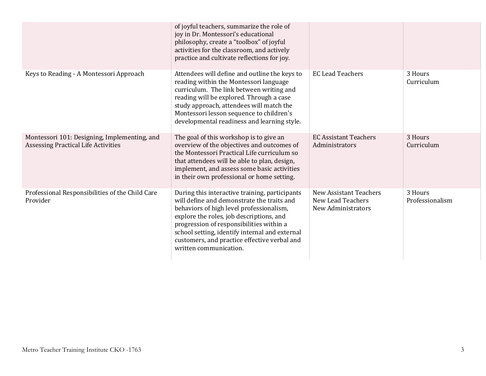|                                                                                     | of joyful teachers, summarize the role of<br>joy in Dr. Montessori's educational<br>philosophy, create a "toolbox" of joyful<br>activities for the classroom, and actively<br>practice and cultivate reflections for joy.                                                                                                                                    |                                                                                 |                            |
|-------------------------------------------------------------------------------------|--------------------------------------------------------------------------------------------------------------------------------------------------------------------------------------------------------------------------------------------------------------------------------------------------------------------------------------------------------------|---------------------------------------------------------------------------------|----------------------------|
| Keys to Reading - A Montessori Approach                                             | Attendees will define and outline the keys to<br>reading within the Montessori language<br>curriculum. The link between writing and<br>reading will be explored. Through a case<br>study approach, attendees will match the<br>Montessori lesson sequence to children's<br>developmental readiness and learning style.                                       | <b>EC Lead Teachers</b>                                                         | 3 Hours<br>Curriculum      |
| Montessori 101: Designing, Implementing, and<br>Assessing Practical Life Activities | The goal of this workshop is to give an<br>overview of the objectives and outcomes of<br>the Montessori Practical Life curriculum so<br>that attendees will be able to plan, design,<br>implement, and assess some basic activities<br>in their own professional or home setting.                                                                            | <b>EC Assistant Teachers</b><br>Administrators                                  | 3 Hours<br>Curriculum      |
| Professional Responsibilities of the Child Care<br>Provider                         | During this interactive training, participants<br>will define and demonstrate the traits and<br>behaviors of high level professionalism,<br>explore the roles, job descriptions, and<br>progression of responsibilities within a<br>school setting, identify internal and external<br>customers, and practice effective verbal and<br>written communication. | <b>New Assistant Teachers</b><br><b>New Lead Teachers</b><br>New Administrators | 3 Hours<br>Professionalism |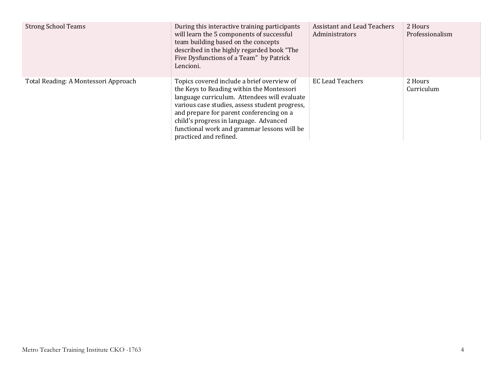| <b>Strong School Teams</b>           | During this interactive training participants<br>will learn the 5 components of successful<br>team building based on the concepts<br>described in the highly regarded book "The<br>Five Dysfunctions of a Team" by Patrick<br>Lencioni.                                                                                                                  | <b>Assistant and Lead Teachers</b><br>Administrators | 2 Hours<br>Professionalism |
|--------------------------------------|----------------------------------------------------------------------------------------------------------------------------------------------------------------------------------------------------------------------------------------------------------------------------------------------------------------------------------------------------------|------------------------------------------------------|----------------------------|
| Total Reading: A Montessori Approach | Topics covered include a brief overview of<br>the Keys to Reading within the Montessori<br>language curriculum. Attendees will evaluate<br>various case studies, assess student progress,<br>and prepare for parent conferencing on a<br>child's progress in language. Advanced<br>functional work and grammar lessons will be<br>practiced and refined. | <b>EC Lead Teachers</b>                              | 2 Hours<br>Curriculum      |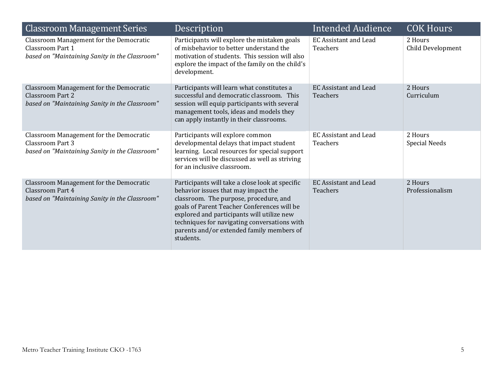| <b>Classroom Management Series</b>                                                                                          | Description                                                                                                                                                                                                                                                                                                                             | <b>Intended Audience</b>                        | <b>COK Hours</b>                |
|-----------------------------------------------------------------------------------------------------------------------------|-----------------------------------------------------------------------------------------------------------------------------------------------------------------------------------------------------------------------------------------------------------------------------------------------------------------------------------------|-------------------------------------------------|---------------------------------|
| <b>Classroom Management for the Democratic</b><br><b>Classroom Part 1</b><br>based on "Maintaining Sanity in the Classroom" | Participants will explore the mistaken goals<br>of misbehavior to better understand the<br>motivation of students. This session will also<br>explore the impact of the family on the child's<br>development.                                                                                                                            | <b>EC Assistant and Lead</b><br>Teachers        | 2 Hours<br>Child Development    |
| Classroom Management for the Democratic<br><b>Classroom Part 2</b><br>based on "Maintaining Sanity in the Classroom"        | Participants will learn what constitutes a<br>successful and democratic classroom. This<br>session will equip participants with several<br>management tools, ideas and models they<br>can apply instantly in their classrooms.                                                                                                          | <b>EC Assistant and Lead</b><br><b>Teachers</b> | 2 Hours<br>Curriculum           |
| <b>Classroom Management for the Democratic</b><br>Classroom Part 3<br>based on "Maintaining Sanity in the Classroom"        | Participants will explore common<br>developmental delays that impact student<br>learning. Local resources for special support<br>services will be discussed as well as striving<br>for an inclusive classroom.                                                                                                                          | <b>EC Assistant and Lead</b><br>Teachers        | 2 Hours<br><b>Special Needs</b> |
| Classroom Management for the Democratic<br>Classroom Part 4<br>based on "Maintaining Sanity in the Classroom"               | Participants will take a close look at specific<br>behavior issues that may impact the<br>classroom. The purpose, procedure, and<br>goals of Parent Teacher Conferences will be<br>explored and participants will utilize new<br>techniques for navigating conversations with<br>parents and/or extended family members of<br>students. | <b>EC Assistant and Lead</b><br>Teachers        | 2 Hours<br>Professionalism      |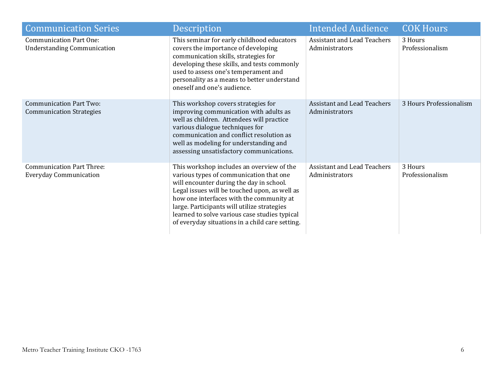| <b>Communication Series</b>                                          | Description                                                                                                                                                                                                                                                                                                                                                                      | <b>Intended Audience</b>                             | <b>COK Hours</b>           |
|----------------------------------------------------------------------|----------------------------------------------------------------------------------------------------------------------------------------------------------------------------------------------------------------------------------------------------------------------------------------------------------------------------------------------------------------------------------|------------------------------------------------------|----------------------------|
| <b>Communication Part One:</b><br><b>Understanding Communication</b> | This seminar for early childhood educators<br>covers the importance of developing<br>communication skills, strategies for<br>developing these skills, and tests commonly<br>used to assess one's temperament and<br>personality as a means to better understand<br>oneself and one's audience.                                                                                   | <b>Assistant and Lead Teachers</b><br>Administrators | 3 Hours<br>Professionalism |
| <b>Communication Part Two:</b><br><b>Communication Strategies</b>    | This workshop covers strategies for<br>improving communication with adults as<br>well as children. Attendees will practice<br>various dialogue techniques for<br>communication and conflict resolution as<br>well as modeling for understanding and<br>assessing unsatisfactory communications.                                                                                  | <b>Assistant and Lead Teachers</b><br>Administrators | 3 Hours Professionalism    |
| <b>Communication Part Three:</b><br><b>Everyday Communication</b>    | This workshop includes an overview of the<br>various types of communication that one<br>will encounter during the day in school.<br>Legal issues will be touched upon, as well as<br>how one interfaces with the community at<br>large. Participants will utilize strategies<br>learned to solve various case studies typical<br>of everyday situations in a child care setting. | <b>Assistant and Lead Teachers</b><br>Administrators | 3 Hours<br>Professionalism |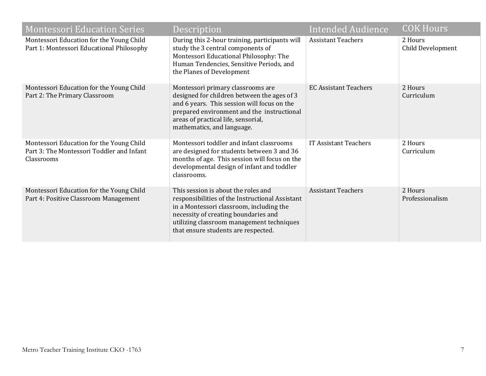| <b>Montessori Education Series</b>                                                                  | Description                                                                                                                                                                                                                                                    | <b>Intended Audience</b>     | <b>COK Hours</b>             |
|-----------------------------------------------------------------------------------------------------|----------------------------------------------------------------------------------------------------------------------------------------------------------------------------------------------------------------------------------------------------------------|------------------------------|------------------------------|
| Montessori Education for the Young Child<br>Part 1: Montessori Educational Philosophy               | During this 2-hour training, participants will<br>study the 3 central components of<br>Montessori Educational Philosophy: The<br>Human Tendencies, Sensitive Periods, and<br>the Planes of Development                                                         | <b>Assistant Teachers</b>    | 2 Hours<br>Child Development |
| Montessori Education for the Young Child<br>Part 2: The Primary Classroom                           | Montessori primary classrooms are<br>designed for children between the ages of 3<br>and 6 years. This session will focus on the<br>prepared environment and the instructional<br>areas of practical life, sensorial,<br>mathematics, and language.             | <b>EC Assistant Teachers</b> | 2 Hours<br>Curriculum        |
| Montessori Education for the Young Child<br>Part 3: The Montessori Toddler and Infant<br>Classrooms | Montessori toddler and infant classrooms<br>are designed for students between 3 and 36<br>months of age. This session will focus on the<br>developmental design of infant and toddler<br>classrooms.                                                           | <b>IT Assistant Teachers</b> | 2 Hours<br>Curriculum        |
| Montessori Education for the Young Child<br>Part 4: Positive Classroom Management                   | This session is about the roles and<br>responsibilities of the Instructional Assistant<br>in a Montessori classroom, including the<br>necessity of creating boundaries and<br>utilizing classroom management techniques<br>that ensure students are respected. | <b>Assistant Teachers</b>    | 2 Hours<br>Professionalism   |